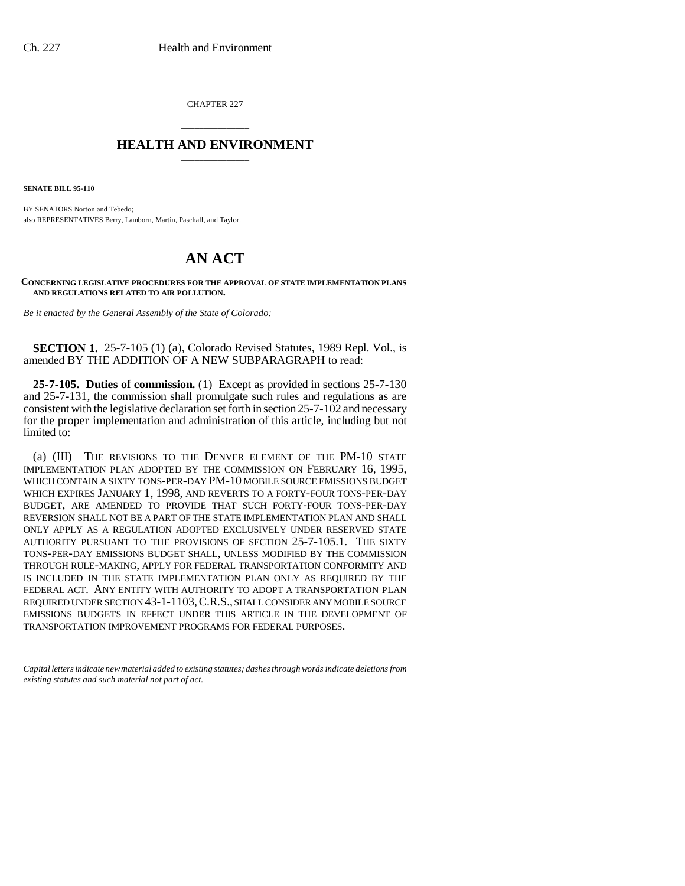CHAPTER 227

## \_\_\_\_\_\_\_\_\_\_\_\_\_\_\_ **HEALTH AND ENVIRONMENT** \_\_\_\_\_\_\_\_\_\_\_\_\_\_\_

**SENATE BILL 95-110**

BY SENATORS Norton and Tebedo; also REPRESENTATIVES Berry, Lamborn, Martin, Paschall, and Taylor.

## **AN ACT**

**CONCERNING LEGISLATIVE PROCEDURES FOR THE APPROVAL OF STATE IMPLEMENTATION PLANS AND REGULATIONS RELATED TO AIR POLLUTION.**

*Be it enacted by the General Assembly of the State of Colorado:*

**SECTION 1.** 25-7-105 (1) (a), Colorado Revised Statutes, 1989 Repl. Vol., is amended BY THE ADDITION OF A NEW SUBPARAGRAPH to read:

**25-7-105. Duties of commission.** (1) Except as provided in sections 25-7-130 and 25-7-131, the commission shall promulgate such rules and regulations as are consistent with the legislative declaration set forth in section 25-7-102 and necessary for the proper implementation and administration of this article, including but not limited to:

IS INCLUDED IN THE STATE IMPLEMENTATION PLAN ONLY AS REQUIRED BY THE (a) (III) THE REVISIONS TO THE DENVER ELEMENT OF THE PM-10 STATE IMPLEMENTATION PLAN ADOPTED BY THE COMMISSION ON FEBRUARY 16, 1995, WHICH CONTAIN A SIXTY TONS-PER-DAY PM-10 MOBILE SOURCE EMISSIONS BUDGET WHICH EXPIRES JANUARY 1, 1998, AND REVERTS TO A FORTY-FOUR TONS-PER-DAY BUDGET, ARE AMENDED TO PROVIDE THAT SUCH FORTY-FOUR TONS-PER-DAY REVERSION SHALL NOT BE A PART OF THE STATE IMPLEMENTATION PLAN AND SHALL ONLY APPLY AS A REGULATION ADOPTED EXCLUSIVELY UNDER RESERVED STATE AUTHORITY PURSUANT TO THE PROVISIONS OF SECTION 25-7-105.1. THE SIXTY TONS-PER-DAY EMISSIONS BUDGET SHALL, UNLESS MODIFIED BY THE COMMISSION THROUGH RULE-MAKING, APPLY FOR FEDERAL TRANSPORTATION CONFORMITY AND FEDERAL ACT. ANY ENTITY WITH AUTHORITY TO ADOPT A TRANSPORTATION PLAN REQUIRED UNDER SECTION 43-1-1103,C.R.S., SHALL CONSIDER ANY MOBILE SOURCE EMISSIONS BUDGETS IN EFFECT UNDER THIS ARTICLE IN THE DEVELOPMENT OF TRANSPORTATION IMPROVEMENT PROGRAMS FOR FEDERAL PURPOSES.

*Capital letters indicate new material added to existing statutes; dashes through words indicate deletions from existing statutes and such material not part of act.*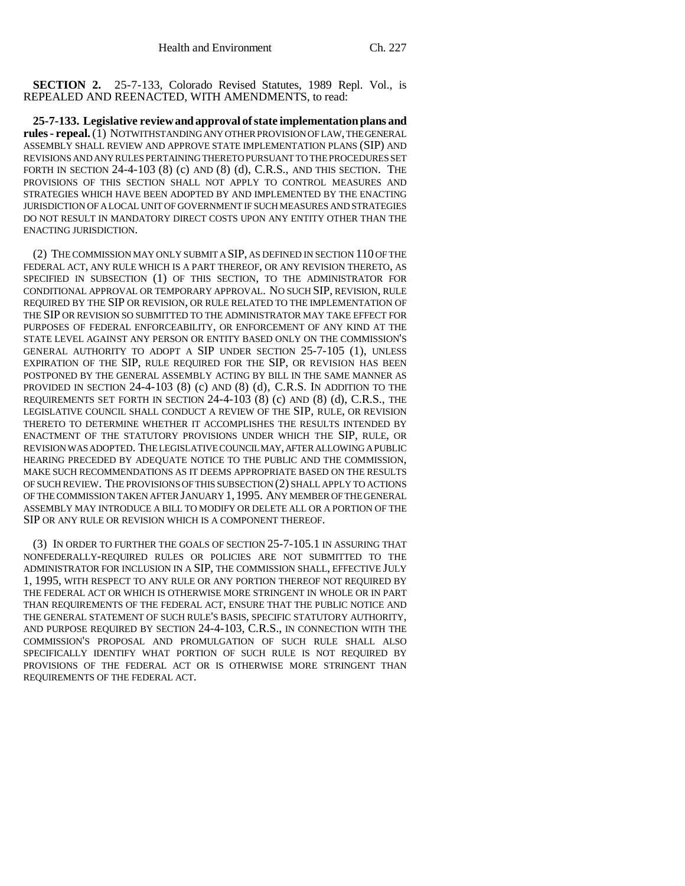**SECTION 2.** 25-7-133, Colorado Revised Statutes, 1989 Repl. Vol., is REPEALED AND REENACTED, WITH AMENDMENTS, to read:

**25-7-133. Legislative review and approval of state implementation plans and rules - repeal.** (1) NOTWITHSTANDING ANY OTHER PROVISION OF LAW, THE GENERAL ASSEMBLY SHALL REVIEW AND APPROVE STATE IMPLEMENTATION PLANS (SIP) AND REVISIONS AND ANY RULES PERTAINING THERETO PURSUANT TO THE PROCEDURES SET FORTH IN SECTION 24-4-103 (8) (c) AND (8) (d), C.R.S., AND THIS SECTION. THE PROVISIONS OF THIS SECTION SHALL NOT APPLY TO CONTROL MEASURES AND STRATEGIES WHICH HAVE BEEN ADOPTED BY AND IMPLEMENTED BY THE ENACTING JURISDICTION OF A LOCAL UNIT OF GOVERNMENT IF SUCH MEASURES AND STRATEGIES DO NOT RESULT IN MANDATORY DIRECT COSTS UPON ANY ENTITY OTHER THAN THE ENACTING JURISDICTION.

(2) THE COMMISSION MAY ONLY SUBMIT A SIP, AS DEFINED IN SECTION 110 OF THE FEDERAL ACT, ANY RULE WHICH IS A PART THEREOF, OR ANY REVISION THERETO, AS SPECIFIED IN SUBSECTION (1) OF THIS SECTION, TO THE ADMINISTRATOR FOR CONDITIONAL APPROVAL OR TEMPORARY APPROVAL. NO SUCH SIP, REVISION, RULE REQUIRED BY THE SIP OR REVISION, OR RULE RELATED TO THE IMPLEMENTATION OF THE SIP OR REVISION SO SUBMITTED TO THE ADMINISTRATOR MAY TAKE EFFECT FOR PURPOSES OF FEDERAL ENFORCEABILITY, OR ENFORCEMENT OF ANY KIND AT THE STATE LEVEL AGAINST ANY PERSON OR ENTITY BASED ONLY ON THE COMMISSION'S GENERAL AUTHORITY TO ADOPT A SIP UNDER SECTION 25-7-105 (1), UNLESS EXPIRATION OF THE SIP, RULE REQUIRED FOR THE SIP, OR REVISION HAS BEEN POSTPONED BY THE GENERAL ASSEMBLY ACTING BY BILL IN THE SAME MANNER AS PROVIDED IN SECTION 24-4-103 (8) (c) AND (8) (d), C.R.S. IN ADDITION TO THE REQUIREMENTS SET FORTH IN SECTION 24-4-103 (8) (c) AND (8) (d), C.R.S., THE LEGISLATIVE COUNCIL SHALL CONDUCT A REVIEW OF THE SIP, RULE, OR REVISION THERETO TO DETERMINE WHETHER IT ACCOMPLISHES THE RESULTS INTENDED BY ENACTMENT OF THE STATUTORY PROVISIONS UNDER WHICH THE SIP, RULE, OR REVISION WAS ADOPTED. THE LEGISLATIVE COUNCIL MAY, AFTER ALLOWING A PUBLIC HEARING PRECEDED BY ADEQUATE NOTICE TO THE PUBLIC AND THE COMMISSION, MAKE SUCH RECOMMENDATIONS AS IT DEEMS APPROPRIATE BASED ON THE RESULTS OF SUCH REVIEW. THE PROVISIONS OF THIS SUBSECTION (2) SHALL APPLY TO ACTIONS OF THE COMMISSION TAKEN AFTER JANUARY 1, 1995. ANY MEMBER OF THE GENERAL ASSEMBLY MAY INTRODUCE A BILL TO MODIFY OR DELETE ALL OR A PORTION OF THE SIP OR ANY RULE OR REVISION WHICH IS A COMPONENT THEREOF.

(3) IN ORDER TO FURTHER THE GOALS OF SECTION 25-7-105.1 IN ASSURING THAT NONFEDERALLY-REQUIRED RULES OR POLICIES ARE NOT SUBMITTED TO THE ADMINISTRATOR FOR INCLUSION IN A SIP, THE COMMISSION SHALL, EFFECTIVE JULY 1, 1995, WITH RESPECT TO ANY RULE OR ANY PORTION THEREOF NOT REQUIRED BY THE FEDERAL ACT OR WHICH IS OTHERWISE MORE STRINGENT IN WHOLE OR IN PART THAN REQUIREMENTS OF THE FEDERAL ACT, ENSURE THAT THE PUBLIC NOTICE AND THE GENERAL STATEMENT OF SUCH RULE'S BASIS, SPECIFIC STATUTORY AUTHORITY, AND PURPOSE REQUIRED BY SECTION 24-4-103, C.R.S., IN CONNECTION WITH THE COMMISSION'S PROPOSAL AND PROMULGATION OF SUCH RULE SHALL ALSO SPECIFICALLY IDENTIFY WHAT PORTION OF SUCH RULE IS NOT REQUIRED BY PROVISIONS OF THE FEDERAL ACT OR IS OTHERWISE MORE STRINGENT THAN REQUIREMENTS OF THE FEDERAL ACT.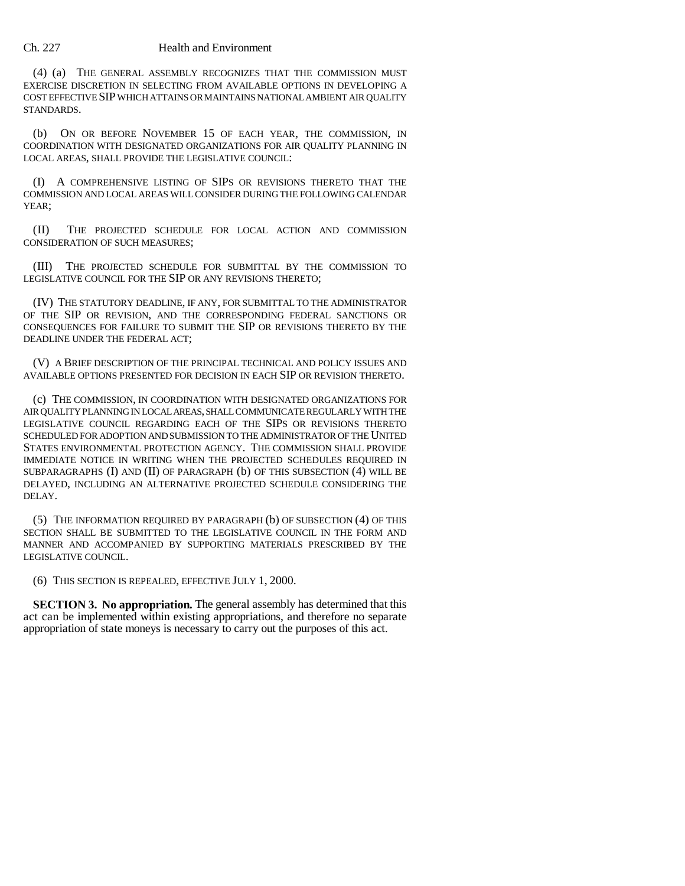## Ch. 227 Health and Environment

(4) (a) THE GENERAL ASSEMBLY RECOGNIZES THAT THE COMMISSION MUST EXERCISE DISCRETION IN SELECTING FROM AVAILABLE OPTIONS IN DEVELOPING A COST EFFECTIVE SIP WHICH ATTAINS OR MAINTAINS NATIONAL AMBIENT AIR QUALITY STANDARDS.

(b) ON OR BEFORE NOVEMBER 15 OF EACH YEAR, THE COMMISSION, IN COORDINATION WITH DESIGNATED ORGANIZATIONS FOR AIR QUALITY PLANNING IN LOCAL AREAS, SHALL PROVIDE THE LEGISLATIVE COUNCIL:

(I) A COMPREHENSIVE LISTING OF SIPS OR REVISIONS THERETO THAT THE COMMISSION AND LOCAL AREAS WILL CONSIDER DURING THE FOLLOWING CALENDAR YEAR:

(II) THE PROJECTED SCHEDULE FOR LOCAL ACTION AND COMMISSION CONSIDERATION OF SUCH MEASURES;

(III) THE PROJECTED SCHEDULE FOR SUBMITTAL BY THE COMMISSION TO LEGISLATIVE COUNCIL FOR THE SIP OR ANY REVISIONS THERETO;

(IV) THE STATUTORY DEADLINE, IF ANY, FOR SUBMITTAL TO THE ADMINISTRATOR OF THE SIP OR REVISION, AND THE CORRESPONDING FEDERAL SANCTIONS OR CONSEQUENCES FOR FAILURE TO SUBMIT THE SIP OR REVISIONS THERETO BY THE DEADLINE UNDER THE FEDERAL ACT;

(V) A BRIEF DESCRIPTION OF THE PRINCIPAL TECHNICAL AND POLICY ISSUES AND AVAILABLE OPTIONS PRESENTED FOR DECISION IN EACH SIP OR REVISION THERETO.

(c) THE COMMISSION, IN COORDINATION WITH DESIGNATED ORGANIZATIONS FOR AIR QUALITY PLANNING IN LOCAL AREAS, SHALL COMMUNICATE REGULARLY WITH THE LEGISLATIVE COUNCIL REGARDING EACH OF THE SIPS OR REVISIONS THERETO SCHEDULED FOR ADOPTION AND SUBMISSION TO THE ADMINISTRATOR OF THE UNITED STATES ENVIRONMENTAL PROTECTION AGENCY. THE COMMISSION SHALL PROVIDE IMMEDIATE NOTICE IN WRITING WHEN THE PROJECTED SCHEDULES REQUIRED IN SUBPARAGRAPHS (I) AND (II) OF PARAGRAPH (b) OF THIS SUBSECTION (4) WILL BE DELAYED, INCLUDING AN ALTERNATIVE PROJECTED SCHEDULE CONSIDERING THE DELAY.

(5) THE INFORMATION REQUIRED BY PARAGRAPH (b) OF SUBSECTION (4) OF THIS SECTION SHALL BE SUBMITTED TO THE LEGISLATIVE COUNCIL IN THE FORM AND MANNER AND ACCOMPANIED BY SUPPORTING MATERIALS PRESCRIBED BY THE LEGISLATIVE COUNCIL.

(6) THIS SECTION IS REPEALED, EFFECTIVE JULY 1, 2000.

**SECTION 3. No appropriation.** The general assembly has determined that this act can be implemented within existing appropriations, and therefore no separate appropriation of state moneys is necessary to carry out the purposes of this act.